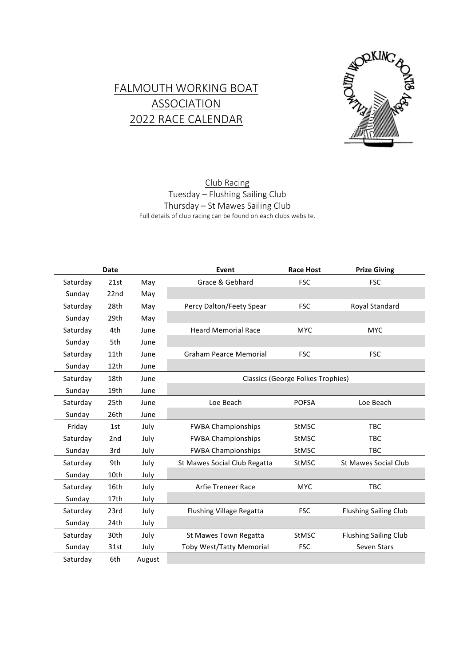## FALMOUTH WORKING BOAT **ASSOCIATION** 2022 RACE CALENDAR



## Club Racing Tuesday – Flushing Sailing Club Thursday – St Mawes Sailing Club Full details of club racing can be found on each clubs website.

|          | <b>Date</b>      |        | Event                                    | <b>Race Host</b> | <b>Prize Giving</b>          |  |
|----------|------------------|--------|------------------------------------------|------------------|------------------------------|--|
| Saturday | 21st             | May    | Grace & Gebhard                          | <b>FSC</b>       | <b>FSC</b>                   |  |
| Sunday   | 22 <sub>nd</sub> | May    |                                          |                  |                              |  |
| Saturday | 28th             | May    | Percy Dalton/Feety Spear                 | <b>FSC</b>       | Royal Standard               |  |
| Sunday   | 29th             | May    |                                          |                  |                              |  |
| Saturday | 4th              | June   | <b>Heard Memorial Race</b>               | <b>MYC</b>       | <b>MYC</b>                   |  |
| Sunday   | 5th              | June   |                                          |                  |                              |  |
| Saturday | 11th             | June   | <b>Graham Pearce Memorial</b>            | <b>FSC</b>       | <b>FSC</b>                   |  |
| Sunday   | 12th             | June   |                                          |                  |                              |  |
| Saturday | 18th             | June   | <b>Classics (George Folkes Trophies)</b> |                  |                              |  |
| Sunday   | 19th             | June   |                                          |                  |                              |  |
| Saturday | 25th             | June   | Loe Beach                                | <b>POFSA</b>     | Loe Beach                    |  |
| Sunday   | 26th             | June   |                                          |                  |                              |  |
| Friday   | 1st              | July   | <b>FWBA Championships</b>                | <b>StMSC</b>     | <b>TBC</b>                   |  |
| Saturday | 2 <sub>nd</sub>  | July   | <b>FWBA Championships</b>                | <b>StMSC</b>     | <b>TBC</b>                   |  |
| Sunday   | 3rd              | July   | <b>FWBA Championships</b>                | <b>StMSC</b>     | <b>TBC</b>                   |  |
| Saturday | 9th              | July   | St Mawes Social Club Regatta             | <b>StMSC</b>     | <b>St Mawes Social Club</b>  |  |
| Sunday   | 10th             | July   |                                          |                  |                              |  |
| Saturday | 16th             | July   | <b>Arfie Treneer Race</b>                | <b>MYC</b>       | <b>TBC</b>                   |  |
| Sunday   | 17th             | July   |                                          |                  |                              |  |
| Saturday | 23rd             | July   | <b>Flushing Village Regatta</b>          | <b>FSC</b>       | <b>Flushing Sailing Club</b> |  |
| Sunday   | 24th             | July   |                                          |                  |                              |  |
| Saturday | 30th             | July   | St Mawes Town Regatta                    | <b>StMSC</b>     | <b>Flushing Sailing Club</b> |  |
| Sunday   | 31st             | July   | <b>Toby West/Tatty Memorial</b>          | <b>FSC</b>       | Seven Stars                  |  |
| Saturday | 6th              | August |                                          |                  |                              |  |